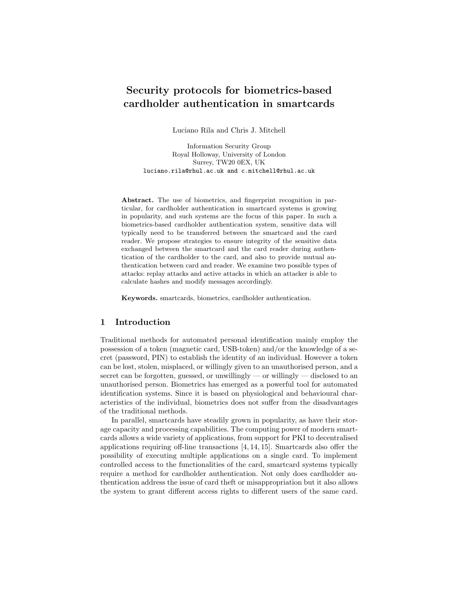# Security protocols for biometrics-based cardholder authentication in smartcards

Luciano Rila and Chris J. Mitchell

Information Security Group Royal Holloway, University of London Surrey, TW20 0EX, UK luciano.rila@rhul.ac.uk and c.mitchell@rhul.ac.uk

Abstract. The use of biometrics, and fingerprint recognition in particular, for cardholder authentication in smartcard systems is growing in popularity, and such systems are the focus of this paper. In such a biometrics-based cardholder authentication system, sensitive data will typically need to be transferred between the smartcard and the card reader. We propose strategies to ensure integrity of the sensitive data exchanged between the smartcard and the card reader during authentication of the cardholder to the card, and also to provide mutual authentication between card and reader. We examine two possible types of attacks: replay attacks and active attacks in which an attacker is able to calculate hashes and modify messages accordingly.

Keywords. smartcards, biometrics, cardholder authentication.

## 1 Introduction

Traditional methods for automated personal identification mainly employ the possession of a token (magnetic card, USB-token) and/or the knowledge of a secret (password, PIN) to establish the identity of an individual. However a token can be lost, stolen, misplaced, or willingly given to an unauthorised person, and a secret can be forgotten, guessed, or unwillingly — or willingly — disclosed to an unauthorised person. Biometrics has emerged as a powerful tool for automated identification systems. Since it is based on physiological and behavioural characteristics of the individual, biometrics does not suffer from the disadvantages of the traditional methods.

In parallel, smartcards have steadily grown in popularity, as have their storage capacity and processing capabilities. The computing power of modern smartcards allows a wide variety of applications, from support for PKI to decentralised applications requiring off-line transactions [4, 14, 15]. Smartcards also offer the possibility of executing multiple applications on a single card. To implement controlled access to the functionalities of the card, smartcard systems typically require a method for cardholder authentication. Not only does cardholder authentication address the issue of card theft or misappropriation but it also allows the system to grant different access rights to different users of the same card.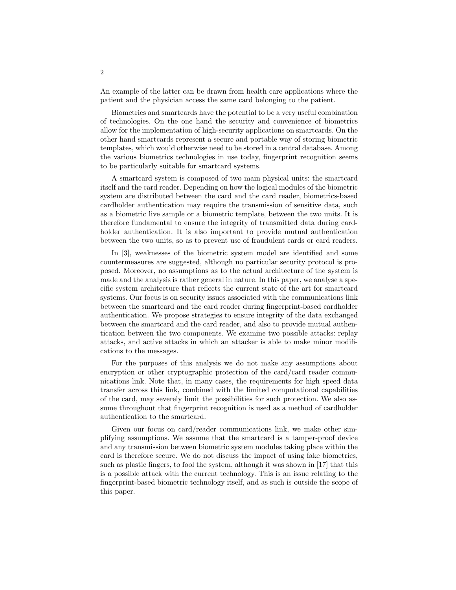An example of the latter can be drawn from health care applications where the patient and the physician access the same card belonging to the patient.

Biometrics and smartcards have the potential to be a very useful combination of technologies. On the one hand the security and convenience of biometrics allow for the implementation of high-security applications on smartcards. On the other hand smartcards represent a secure and portable way of storing biometric templates, which would otherwise need to be stored in a central database. Among the various biometrics technologies in use today, fingerprint recognition seems to be particularly suitable for smartcard systems.

A smartcard system is composed of two main physical units: the smartcard itself and the card reader. Depending on how the logical modules of the biometric system are distributed between the card and the card reader, biometrics-based cardholder authentication may require the transmission of sensitive data, such as a biometric live sample or a biometric template, between the two units. It is therefore fundamental to ensure the integrity of transmitted data during cardholder authentication. It is also important to provide mutual authentication between the two units, so as to prevent use of fraudulent cards or card readers.

In [3], weaknesses of the biometric system model are identified and some countermeasures are suggested, although no particular security protocol is proposed. Moreover, no assumptions as to the actual architecture of the system is made and the analysis is rather general in nature. In this paper, we analyse a specific system architecture that reflects the current state of the art for smartcard systems. Our focus is on security issues associated with the communications link between the smartcard and the card reader during fingerprint-based cardholder authentication. We propose strategies to ensure integrity of the data exchanged between the smartcard and the card reader, and also to provide mutual authentication between the two components. We examine two possible attacks: replay attacks, and active attacks in which an attacker is able to make minor modifications to the messages.

For the purposes of this analysis we do not make any assumptions about encryption or other cryptographic protection of the card/card reader communications link. Note that, in many cases, the requirements for high speed data transfer across this link, combined with the limited computational capabilities of the card, may severely limit the possibilities for such protection. We also assume throughout that fingerprint recognition is used as a method of cardholder authentication to the smartcard.

Given our focus on card/reader communications link, we make other simplifying assumptions. We assume that the smartcard is a tamper-proof device and any transmission between biometric system modules taking place within the card is therefore secure. We do not discuss the impact of using fake biometrics, such as plastic fingers, to fool the system, although it was shown in [17] that this is a possible attack with the current technology. This is an issue relating to the fingerprint-based biometric technology itself, and as such is outside the scope of this paper.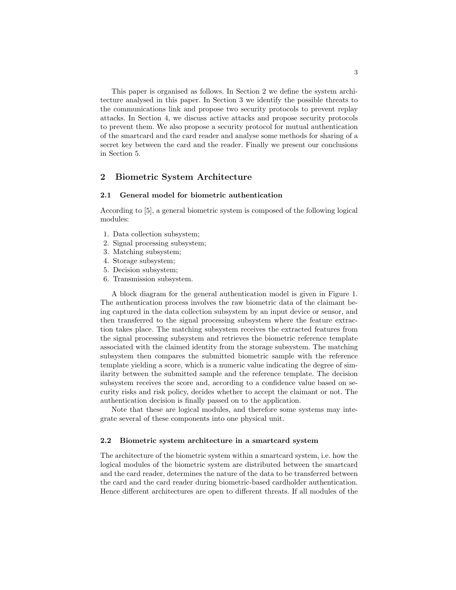This paper is organised as follows. In Section 2 we define the system architecture analysed in this paper. In Section 3 we identify the possible threats to the communications link and propose two security protocols to prevent replay attacks. In Section 4, we discuss active attacks and propose security protocols to prevent them. We also propose a security protocol for mutual authentication of the smartcard and the card reader and analyse some methods for sharing of a secret key between the card and the reader. Finally we present our conclusions in Section 5.

# 2 Biometric System Architecture

## 2.1 General model for biometric authentication

According to [5], a general biometric system is composed of the following logical modules:

- 1. Data collection subsystem;
- 2. Signal processing subsystem;
- 3. Matching subsystem;
- 4. Storage subsystem;
- 5. Decision subsystem;
- 6. Transmission subsystem.

A block diagram for the general authentication model is given in Figure 1. The authentication process involves the raw biometric data of the claimant being captured in the data collection subsystem by an input device or sensor, and then transferred to the signal processing subsystem where the feature extraction takes place. The matching subsystem receives the extracted features from the signal processing subsystem and retrieves the biometric reference template associated with the claimed identity from the storage subsystem. The matching subsystem then compares the submitted biometric sample with the reference template yielding a score, which is a numeric value indicating the degree of similarity between the submitted sample and the reference template. The decision subsystem receives the score and, according to a confidence value based on security risks and risk policy, decides whether to accept the claimant or not. The authentication decision is finally passed on to the application.

Note that these are logical modules, and therefore some systems may integrate several of these components into one physical unit.

#### 2.2 Biometric system architecture in a smartcard system

The architecture of the biometric system within a smartcard system, i.e. how the logical modules of the biometric system are distributed between the smartcard and the card reader, determines the nature of the data to be transferred between the card and the card reader during biometric-based cardholder authentication. Hence different architectures are open to different threats. If all modules of the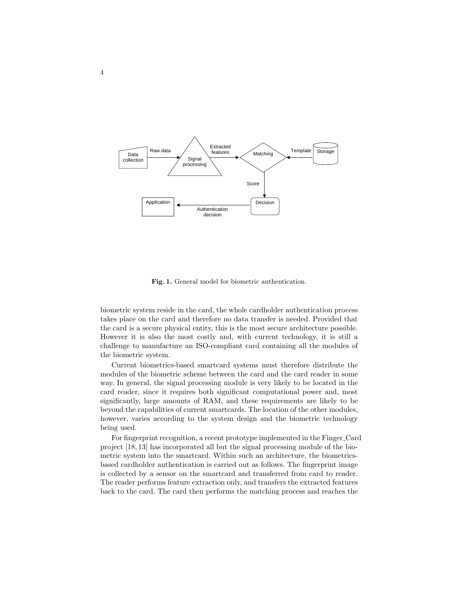

Fig. 1. General model for biometric authentication.

biometric system reside in the card, the whole cardholder authentication process takes place on the card and therefore no data transfer is needed. Provided that the card is a secure physical entity, this is the most secure architecture possible. However it is also the most costly and, with current technology, it is still a challenge to manufacture an ISO-compliant card containing all the modules of the biometric system.

Current biometrics-based smartcard systems must therefore distribute the modules of the biometric scheme between the card and the card reader in some way. In general, the signal processing module is very likely to be located in the card reader, since it requires both significant computational power and, most significantly, large amounts of RAM, and these requirements are likely to be beyond the capabilities of current smartcards. The location of the other modules, however, varies according to the system design and the biometric technology being used.

For fingerprint recognition, a recent prototype implemented in the Finger Card project [18, 13] has incorporated all but the signal processing module of the biometric system into the smartcard. Within such an architecture, the biometricsbased cardholder authentication is carried out as follows. The fingerprint image is collected by a sensor on the smartcard and transferred from card to reader. The reader performs feature extraction only, and transfers the extracted features back to the card. The card then performs the matching process and reaches the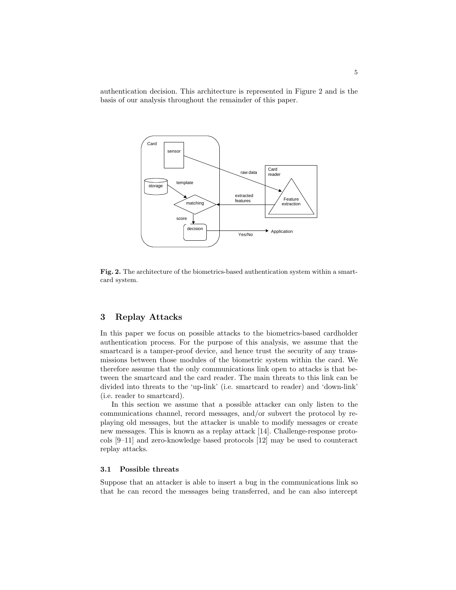authentication decision. This architecture is represented in Figure 2 and is the basis of our analysis throughout the remainder of this paper.



Fig. 2. The architecture of the biometrics-based authentication system within a smartcard system.

## 3 Replay Attacks

In this paper we focus on possible attacks to the biometrics-based cardholder authentication process. For the purpose of this analysis, we assume that the smartcard is a tamper-proof device, and hence trust the security of any transmissions between those modules of the biometric system within the card. We therefore assume that the only communications link open to attacks is that between the smartcard and the card reader. The main threats to this link can be divided into threats to the 'up-link' (i.e. smartcard to reader) and 'down-link' (i.e. reader to smartcard).

In this section we assume that a possible attacker can only listen to the communications channel, record messages, and/or subvert the protocol by replaying old messages, but the attacker is unable to modify messages or create new messages. This is known as a replay attack [14]. Challenge-response protocols [9–11] and zero-knowledge based protocols [12] may be used to counteract replay attacks.

#### 3.1 Possible threats

Suppose that an attacker is able to insert a bug in the communications link so that he can record the messages being transferred, and he can also intercept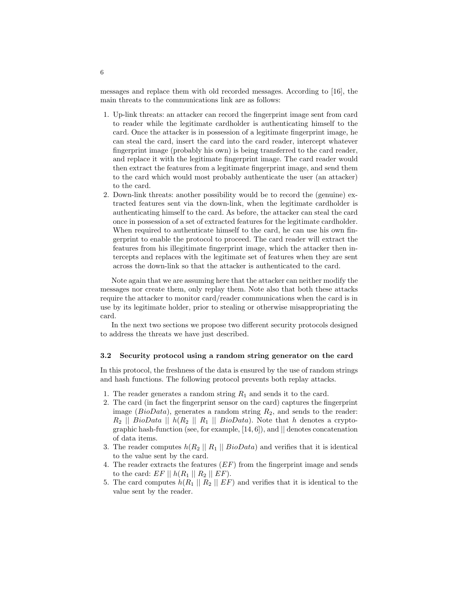messages and replace them with old recorded messages. According to [16], the main threats to the communications link are as follows:

- 1. Up-link threats: an attacker can record the fingerprint image sent from card to reader while the legitimate cardholder is authenticating himself to the card. Once the attacker is in possession of a legitimate fingerprint image, he can steal the card, insert the card into the card reader, intercept whatever fingerprint image (probably his own) is being transferred to the card reader, and replace it with the legitimate fingerprint image. The card reader would then extract the features from a legitimate fingerprint image, and send them to the card which would most probably authenticate the user (an attacker) to the card.
- 2. Down-link threats: another possibility would be to record the (genuine) extracted features sent via the down-link, when the legitimate cardholder is authenticating himself to the card. As before, the attacker can steal the card once in possession of a set of extracted features for the legitimate cardholder. When required to authenticate himself to the card, he can use his own fingerprint to enable the protocol to proceed. The card reader will extract the features from his illegitimate fingerprint image, which the attacker then intercepts and replaces with the legitimate set of features when they are sent across the down-link so that the attacker is authenticated to the card.

Note again that we are assuming here that the attacker can neither modify the messages nor create them, only replay them. Note also that both these attacks require the attacker to monitor card/reader communications when the card is in use by its legitimate holder, prior to stealing or otherwise misappropriating the card.

In the next two sections we propose two different security protocols designed to address the threats we have just described.

#### 3.2 Security protocol using a random string generator on the card

In this protocol, the freshness of the data is ensured by the use of random strings and hash functions. The following protocol prevents both replay attacks.

- 1. The reader generates a random string  $R_1$  and sends it to the card.
- 2. The card (in fact the fingerprint sensor on the card) captures the fingerprint image ( $BioData$ ), generates a random string  $R_2$ , and sends to the reader:  $R_2$  || BioData ||  $h(R_2 \parallel R_1 \parallel BioData)$ . Note that h denotes a cryptographic hash-function (see, for example, [14, 6]), and || denotes concatenation of data items.
- 3. The reader computes  $h(R_2 || R_1 || BioData)$  and verifies that it is identical to the value sent by the card.
- 4. The reader extracts the features  $(EF)$  from the fingerprint image and sends to the card:  $EF \parallel h(R_1 \parallel R_2 \parallel EF)$ .
- 5. The card computes  $h(R_1 \parallel R_2 \parallel EF)$  and verifies that it is identical to the value sent by the reader.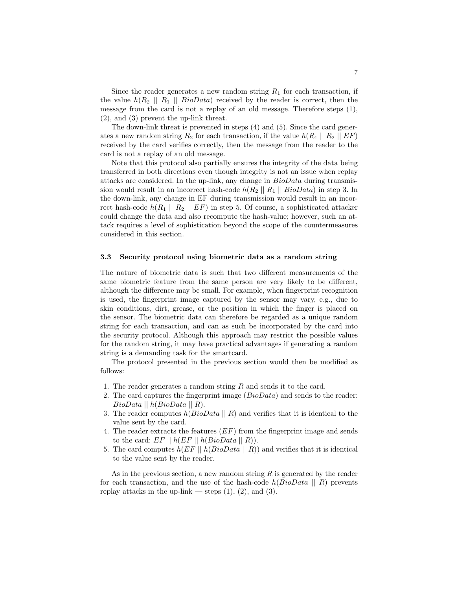Since the reader generates a new random string  $R_1$  for each transaction, if the value  $h(R_2 \parallel R_1 \parallel BioData)$  received by the reader is correct, then the message from the card is not a replay of an old message. Therefore steps (1), (2), and (3) prevent the up-link threat.

The down-link threat is prevented in steps (4) and (5). Since the card generates a new random string  $R_2$  for each transaction, if the value  $h(R_1 \parallel R_2 \parallel EF)$ received by the card verifies correctly, then the message from the reader to the card is not a replay of an old message.

Note that this protocol also partially ensures the integrity of the data being transferred in both directions even though integrity is not an issue when replay attacks are considered. In the up-link, any change in BioData during transmission would result in an incorrect hash-code  $h(R_2 || R_1 || Bi_0 Data)$  in step 3. In the down-link, any change in EF during transmission would result in an incorrect hash-code  $h(R_1 \parallel R_2 \parallel EF)$  in step 5. Of course, a sophisticated attacker could change the data and also recompute the hash-value; however, such an attack requires a level of sophistication beyond the scope of the countermeasures considered in this section.

#### 3.3 Security protocol using biometric data as a random string

The nature of biometric data is such that two different measurements of the same biometric feature from the same person are very likely to be different, although the difference may be small. For example, when fingerprint recognition is used, the fingerprint image captured by the sensor may vary, e.g., due to skin conditions, dirt, grease, or the position in which the finger is placed on the sensor. The biometric data can therefore be regarded as a unique random string for each transaction, and can as such be incorporated by the card into the security protocol. Although this approach may restrict the possible values for the random string, it may have practical advantages if generating a random string is a demanding task for the smartcard.

The protocol presented in the previous section would then be modified as follows:

- 1. The reader generates a random string R and sends it to the card.
- 2. The card captures the fingerprint image  $(BioData)$  and sends to the reader:  $BioData \parallel h(BioData \parallel R).$
- 3. The reader computes  $h(BioData || R)$  and verifies that it is identical to the value sent by the card.
- 4. The reader extracts the features  $(EF)$  from the fingerprint image and sends to the card:  $EF \parallel h(EF \parallel h(BioData \parallel R)).$
- 5. The card computes  $h(EF || h(BioData || R))$  and verifies that it is identical to the value sent by the reader.

As in the previous section, a new random string  $R$  is generated by the reader for each transaction, and the use of the hash-code  $h(BioData || R)$  prevents replay attacks in the up-link — steps  $(1)$ ,  $(2)$ , and  $(3)$ .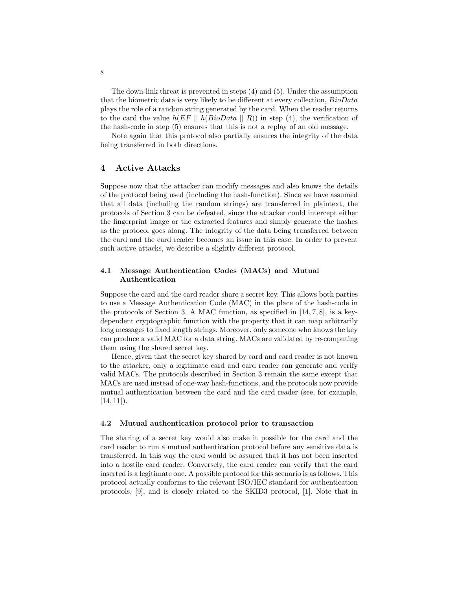The down-link threat is prevented in steps (4) and (5). Under the assumption that the biometric data is very likely to be different at every collection, BioData plays the role of a random string generated by the card. When the reader returns to the card the value  $h(EF || h(BioData || R))$  in step (4), the verification of the hash-code in step (5) ensures that this is not a replay of an old message.

Note again that this protocol also partially ensures the integrity of the data being transferred in both directions.

## 4 Active Attacks

Suppose now that the attacker can modify messages and also knows the details of the protocol being used (including the hash-function). Since we have assumed that all data (including the random strings) are transferred in plaintext, the protocols of Section 3 can be defeated, since the attacker could intercept either the fingerprint image or the extracted features and simply generate the hashes as the protocol goes along. The integrity of the data being transferred between the card and the card reader becomes an issue in this case. In order to prevent such active attacks, we describe a slightly different protocol.

## 4.1 Message Authentication Codes (MACs) and Mutual Authentication

Suppose the card and the card reader share a secret key. This allows both parties to use a Message Authentication Code (MAC) in the place of the hash-code in the protocols of Section 3. A MAC function, as specified in  $[14, 7, 8]$ , is a keydependent cryptographic function with the property that it can map arbitrarily long messages to fixed length strings. Moreover, only someone who knows the key can produce a valid MAC for a data string. MACs are validated by re-computing them using the shared secret key.

Hence, given that the secret key shared by card and card reader is not known to the attacker, only a legitimate card and card reader can generate and verify valid MACs. The protocols described in Section 3 remain the same except that MACs are used instead of one-way hash-functions, and the protocols now provide mutual authentication between the card and the card reader (see, for example,  $[14, 11]$ .

#### 4.2 Mutual authentication protocol prior to transaction

The sharing of a secret key would also make it possible for the card and the card reader to run a mutual authentication protocol before any sensitive data is transferred. In this way the card would be assured that it has not been inserted into a hostile card reader. Conversely, the card reader can verify that the card inserted is a legitimate one. A possible protocol for this scenario is as follows. This protocol actually conforms to the relevant ISO/IEC standard for authentication protocols, [9], and is closely related to the SKID3 protocol, [1]. Note that in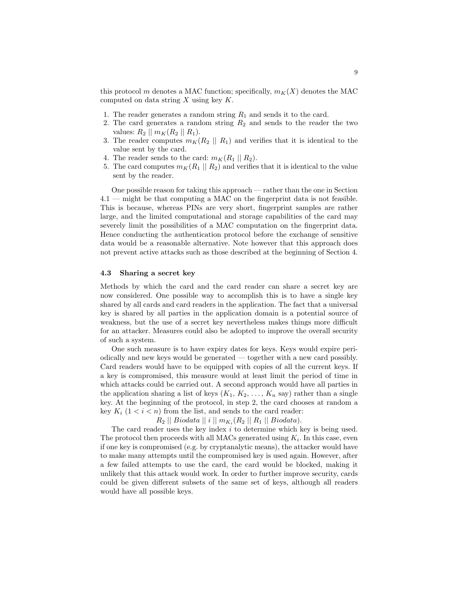this protocol m denotes a MAC function; specifically,  $m_K(X)$  denotes the MAC computed on data string  $X$  using key  $K$ .

- 1. The reader generates a random string  $R_1$  and sends it to the card.
- 2. The card generates a random string  $R_2$  and sends to the reader the two values:  $R_2 || m_K(R_2 || R_1)$ .
- 3. The reader computes  $m_K(R_2 \parallel R_1)$  and verifies that it is identical to the value sent by the card.
- 4. The reader sends to the card:  $m_K(R_1 \parallel R_2)$ .
- 5. The card computes  $m_K(R_1 \parallel R_2)$  and verifies that it is identical to the value sent by the reader.

One possible reason for taking this approach — rather than the one in Section 4.1 — might be that computing a MAC on the fingerprint data is not feasible. This is because, whereas PINs are very short, fingerprint samples are rather large, and the limited computational and storage capabilities of the card may severely limit the possibilities of a MAC computation on the fingerprint data. Hence conducting the authentication protocol before the exchange of sensitive data would be a reasonable alternative. Note however that this approach does not prevent active attacks such as those described at the beginning of Section 4.

## 4.3 Sharing a secret key

Methods by which the card and the card reader can share a secret key are now considered. One possible way to accomplish this is to have a single key shared by all cards and card readers in the application. The fact that a universal key is shared by all parties in the application domain is a potential source of weakness, but the use of a secret key nevertheless makes things more difficult for an attacker. Measures could also be adopted to improve the overall security of such a system.

One such measure is to have expiry dates for keys. Keys would expire periodically and new keys would be generated — together with a new card possibly. Card readers would have to be equipped with copies of all the current keys. If a key is compromised, this measure would at least limit the period of time in which attacks could be carried out. A second approach would have all parties in the application sharing a list of keys  $(K_1, K_2, \ldots, K_n$  say) rather than a single key. At the beginning of the protocol, in step 2, the card chooses at random a key  $K_i$   $(1 < i < n)$  from the list, and sends to the card reader:

 $R_2 \parallel Biodata \parallel i \parallel m_{K_i}(R_2 \parallel R_1 \parallel Biodata).$ 

The card reader uses the key index  $i$  to determine which key is being used. The protocol then proceeds with all MACs generated using  $K_i$ . In this case, even if one key is compromised (e.g. by cryptanalytic means), the attacker would have to make many attempts until the compromised key is used again. However, after a few failed attempts to use the card, the card would be blocked, making it unlikely that this attack would work. In order to further improve security, cards could be given different subsets of the same set of keys, although all readers would have all possible keys.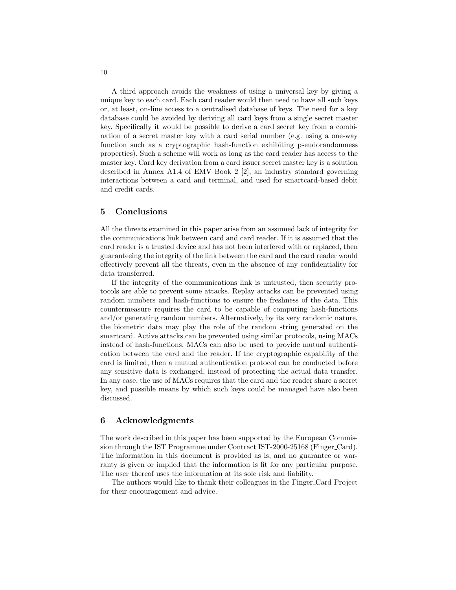A third approach avoids the weakness of using a universal key by giving a unique key to each card. Each card reader would then need to have all such keys or, at least, on-line access to a centralised database of keys. The need for a key database could be avoided by deriving all card keys from a single secret master key. Specifically it would be possible to derive a card secret key from a combination of a secret master key with a card serial number (e.g. using a one-way function such as a cryptographic hash-function exhibiting pseudorandomness properties). Such a scheme will work as long as the card reader has access to the master key. Card key derivation from a card issuer secret master key is a solution described in Annex A1.4 of EMV Book 2 [2], an industry standard governing interactions between a card and terminal, and used for smartcard-based debit and credit cards.

## 5 Conclusions

All the threats examined in this paper arise from an assumed lack of integrity for the communications link between card and card reader. If it is assumed that the card reader is a trusted device and has not been interfered with or replaced, then guaranteeing the integrity of the link between the card and the card reader would effectively prevent all the threats, even in the absence of any confidentiality for data transferred.

If the integrity of the communications link is untrusted, then security protocols are able to prevent some attacks. Replay attacks can be prevented using random numbers and hash-functions to ensure the freshness of the data. This countermeasure requires the card to be capable of computing hash-functions and/or generating random numbers. Alternatively, by its very randomic nature, the biometric data may play the role of the random string generated on the smartcard. Active attacks can be prevented using similar protocols, using MACs instead of hash-functions. MACs can also be used to provide mutual authentication between the card and the reader. If the cryptographic capability of the card is limited, then a mutual authentication protocol can be conducted before any sensitive data is exchanged, instead of protecting the actual data transfer. In any case, the use of MACs requires that the card and the reader share a secret key, and possible means by which such keys could be managed have also been discussed.

#### 6 Acknowledgments

The work described in this paper has been supported by the European Commission through the IST Programme under Contract IST-2000-25168 (Finger Card). The information in this document is provided as is, and no guarantee or warranty is given or implied that the information is fit for any particular purpose. The user thereof uses the information at its sole risk and liability.

The authors would like to thank their colleagues in the Finger Card Project for their encouragement and advice.